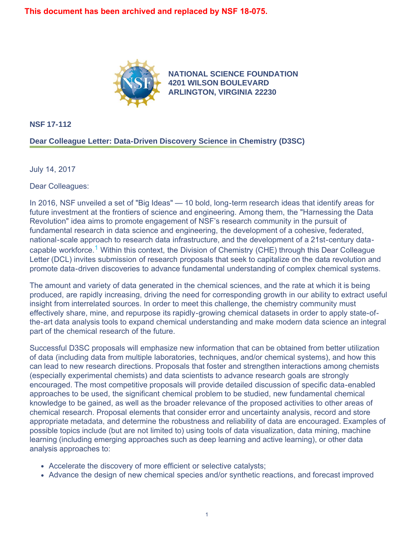

**[NATIONAL SCIENCE FOUNDATION](https://www.nsf.gov/) 4201 WILSON BOULEVARD ARLINGTON, VIRGINIA 22230**

**NSF 17-112**

## **Dear Colleague Letter: Data-Driven Discovery Science in Chemistry (D3SC)**

July 14, 2017

Dear Colleagues:

In 2016, NSF unveiled a set of "Big Ideas" — 10 bold, long-term research ideas that identify areas for future investment at the frontiers of science and engineering. Among them, the "Harnessing the Data Revolution" idea aims to promote engagement of NSF's research community in the pursuit of fundamental research in data science and engineering, the development of a cohesive, federated, national-scale approach to research data infrastructure, and the development of a 21st-century datacapable workforce.<sup>1</sup> Within this context, the Division of Chemistry (CHE) through this Dear Colleague Letter (DCL) invites submission of research proposals that seek to capitalize on the data revolution and promote data-driven discoveries to advance fundamental understanding of complex chemical systems.

The amount and variety of data generated in the chemical sciences, and the rate at which it is being produced, are rapidly increasing, driving the need for corresponding growth in our ability to extract useful insight from interrelated sources. In order to meet this challenge, the chemistry community must effectively share, mine, and repurpose its rapidly-growing chemical datasets in order to apply state-ofthe-art data analysis tools to expand chemical understanding and make modern data science an integral part of the chemical research of the future.

Successful D3SC proposals will emphasize new information that can be obtained from better utilization of data (including data from multiple laboratories, techniques, and/or chemical systems), and how this can lead to new research directions. Proposals that foster and strengthen interactions among chemists (especially experimental chemists) and data scientists to advance research goals are strongly encouraged. The most competitive proposals will provide detailed discussion of specific data-enabled approaches to be used, the significant chemical problem to be studied, new fundamental chemical knowledge to be gained, as well as the broader relevance of the proposed activities to other areas of chemical research. Proposal elements that consider error and uncertainty analysis, record and store appropriate metadata, and determine the robustness and reliability of data are encouraged. Examples of possible topics include (but are not limited to) using tools of data visualization, data mining, machine learning (including emerging approaches such as deep learning and active learning), or other data analysis approaches to:

- Accelerate the discovery of more efficient or selective catalysts;
- Advance the design of new chemical species and/or synthetic reactions, and forecast improved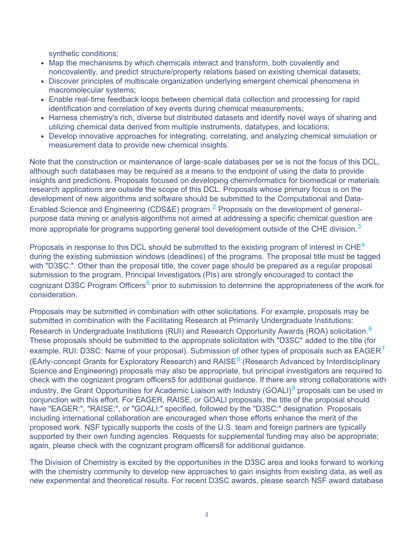synthetic conditions;

- Map the mechanisms by which chemicals interact and transform, both covalently and noncovalently, and predict structure/property relations based on existing chemical datasets;
- Discover principles of multiscale organization underlying emergent chemical phenomena in macromolecular systems;
- Enable real-time feedback loops between chemical data collection and processing for rapid identification and correlation of key events during chemical measurements;
- Harness chemistry's rich, diverse but distributed datasets and identify novel ways of sharing and utilizing chemical data derived from multiple instruments, datatypes, and locations;
- Develop innovative approaches for integrating, correlating, and analyzing chemical simulation or measurement data to provide new chemical insights.

Note that the construction or maintenance of large-scale databases per se is not the focus of this DCL, although such databases may be required as a means to the endpoint of using the data to provide insights and predictions. Proposals focused on developing cheminformatics for biomedical or materials research applications are outside the scope of this DCL. Proposals whose primary focus is on the development of new algorithms and software should be submitted to the Computational and Data-Enabled Science and Engineering (CDS&E) program.<sup>2</sup> Proposals on the development of generalpurpose data mining or analysis algorithms not aimed at addressing a specific chemical question are more appropriate for programs supporting general tool development outside of the CHE division.<sup>[3](#page-2-2)</sup>

Proposals in response to this DCL should be submitted to the existing program of interest in CHE<sup>[4](#page-2-3)</sup> during the existing submission windows (deadlines) of the programs. The proposal title must be tagged with "D3SC:". Other than the proposal title, the cover page should be prepared as a regular proposal submission to the program. Principal Investigators (PIs) are strongly encouraged to contact the cognizant D3SC Program Officers<sup>5</sup> prior to submission to determine the appropriateness of the work for consideration.

Proposals may be submitted in combination with other solicitations. For example, proposals may be submitted in combination with the Facilitating Research at Primarily Undergraduate Institutions: Research in Undergraduate Institutions (RUI) and Research Opportunity Awards (ROA) solicitation.<sup>[6](#page-2-5)</sup> These proposals should be submitted to the appropriate solicitation with "D3SC" added to the title (for example, RUI: D3SC: Name of your proposal). Submission of other types of proposals such as  $EAGER<sup>7</sup>$  $EAGER<sup>7</sup>$  $EAGER<sup>7</sup>$ (EArly-concept Grants for Exploratory Research) and RAISE<sup>8</sup> (Research Advanced by Interdisciplinary Science and Engineering) proposals may also be appropriate, but principal investigators are required to check with the cognizant program officers5 for additional guidance. If there are strong collaborations with industry, the Grant Opportunities for Academic Liaison with Industry (GOALI)<sup>[9](#page-2-8)</sup> proposals can be used in conjunction with this effort. For EAGER, RAISE, or GOALI proposals, the title of the proposal should have "EAGER:", "RAISE:", or "GOALI:" specified, followed by the "D3SC:" designation. Proposals including international collaboration are encouraged when those efforts enhance the merit of the proposed work. NSF typically supports the costs of the U.S. team and foreign partners are typically supported by their own funding agencies. Requests for supplemental funding may also be appropriate; again, please check with the cognizant program officers8 for additional guidance.

The Division of Chemistry is excited by the opportunities in the D3SC area and looks forward to working with the chemistry community to develop new approaches to gain insights from existing data, as well as new experimental and theoretical results. For recent D3SC awards, please search NSF award database